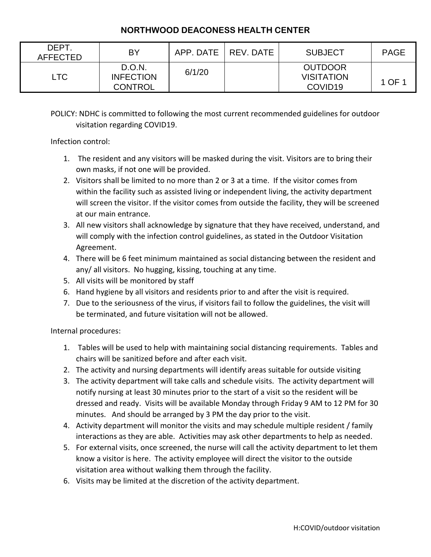## **NORTHWOOD DEACONESS HEALTH CENTER**

| DEPT.<br><b>AFFECTED</b> | BY                                           | APP. DATE   REV. DATE | <b>SUBJECT</b>                                             | <b>PAGE</b> |
|--------------------------|----------------------------------------------|-----------------------|------------------------------------------------------------|-------------|
| <b>LTC</b>               | D.O.N.<br><b>INFECTION</b><br><b>CONTROL</b> | 6/1/20                | <b>OUTDOOR</b><br><b>VISITATION</b><br>COVID <sub>19</sub> | 1 OF 1      |

POLICY: NDHC is committed to following the most current recommended guidelines for outdoor visitation regarding COVID19.

Infection control:

- 1. The resident and any visitors will be masked during the visit. Visitors are to bring their own masks, if not one will be provided.
- 2. Visitors shall be limited to no more than 2 or 3 at a time. If the visitor comes from within the facility such as assisted living or independent living, the activity department will screen the visitor. If the visitor comes from outside the facility, they will be screened at our main entrance.
- 3. All new visitors shall acknowledge by signature that they have received, understand, and will comply with the infection control guidelines, as stated in the Outdoor Visitation Agreement.
- 4. There will be 6 feet minimum maintained as social distancing between the resident and any/ all visitors. No hugging, kissing, touching at any time.
- 5. All visits will be monitored by staff
- 6. Hand hygiene by all visitors and residents prior to and after the visit is required.
- 7. Due to the seriousness of the virus, if visitors fail to follow the guidelines, the visit will be terminated, and future visitation will not be allowed.

Internal procedures:

- 1. Tables will be used to help with maintaining social distancing requirements. Tables and chairs will be sanitized before and after each visit.
- 2. The activity and nursing departments will identify areas suitable for outside visiting
- 3. The activity department will take calls and schedule visits. The activity department will notify nursing at least 30 minutes prior to the start of a visit so the resident will be dressed and ready. Visits will be available Monday through Friday 9 AM to 12 PM for 30 minutes. And should be arranged by 3 PM the day prior to the visit.
- 4. Activity department will monitor the visits and may schedule multiple resident / family interactions as they are able. Activities may ask other departments to help as needed.
- 5. For external visits, once screened, the nurse will call the activity department to let them know a visitor is here. The activity employee will direct the visitor to the outside visitation area without walking them through the facility.
- 6. Visits may be limited at the discretion of the activity department.